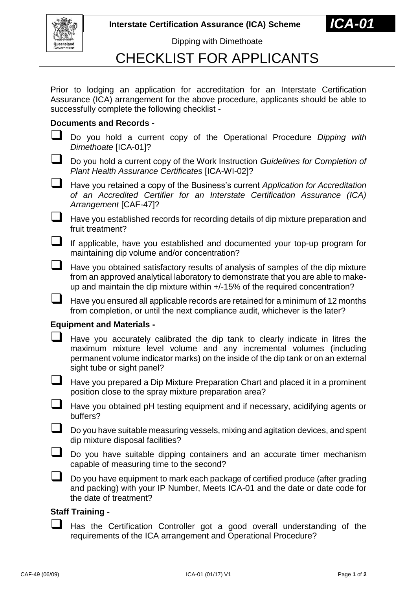**Interstate Certification Assurance (ICA) Scheme** 



Dipping with Dimethoate

## CHECKLIST FOR APPLICANTS

Prior to lodging an application for accreditation for an Interstate Certification Assurance (ICA) arrangement for the above procedure, applicants should be able to successfully complete the following checklist -

### **Documents and Records -**

 Do you hold a current copy of the Operational Procedure *Dipping with Dimethoate* [ICA-01]?

- Do you hold a current copy of the Work Instruction *Guidelines for Completion of Plant Health Assurance Certificates* [ICA-WI-02]?
- Have you retained a copy of the Business's current *Application for Accreditation of an Accredited Certifier for an Interstate Certification Assurance (ICA) Arrangement* [CAF-47]?
- $\Box$  Have you established records for recording details of dip mixture preparation and fruit treatment?
- If applicable, have you established and documented your top-up program for maintaining dip volume and/or concentration?
- $\Box$  Have you obtained satisfactory results of analysis of samples of the dip mixture from an approved analytical laboratory to demonstrate that you are able to makeup and maintain the dip mixture within +/-15% of the required concentration?
- $\Box$  Have you ensured all applicable records are retained for a minimum of 12 months from completion, or until the next compliance audit, whichever is the later?

#### **Equipment and Materials -**

| Have you accurately calibrated the dip tank to clearly indicate in litres the     |
|-----------------------------------------------------------------------------------|
| maximum mixture level volume and any incremental volumes (including               |
| permanent volume indicator marks) on the inside of the dip tank or on an external |
| sight tube or sight panel?                                                        |

- $\Box$  Have you prepared a Dip Mixture Preparation Chart and placed it in a prominent position close to the spray mixture preparation area?
- Have you obtained pH testing equipment and if necessary, acidifying agents or buffers?
- Do you have suitable measuring vessels, mixing and agitation devices, and spent dip mixture disposal facilities?
- Do you have suitable dipping containers and an accurate timer mechanism capable of measuring time to the second?
- $\Box$  Do you have equipment to mark each package of certified produce (after grading and packing) with your IP Number, Meets ICA-01 and the date or date code for the date of treatment?

#### **Staff Training -**

 Has the Certification Controller got a good overall understanding of the requirements of the ICA arrangement and Operational Procedure?